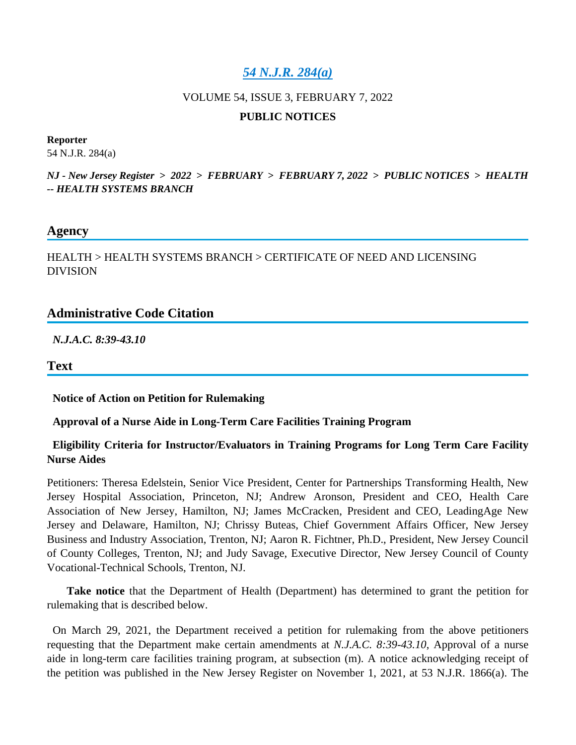## *[54 N.J.R. 284\(a\)](https://advance.lexis.com/api/document?collection=administrative-codes&id=urn:contentItem:64MS-2FG1-F956-S3X7-00000-00&context=1000516)*

# VOLUME 54, ISSUE 3, FEBRUARY 7, 2022

#### **PUBLIC NOTICES**

#### **Reporter**

54 N.J.R. 284(a)

*NJ - New Jersey Register* **>** *2022* **>** *FEBRUARY* **>** *FEBRUARY 7, 2022* **>** *PUBLIC NOTICES* **>** *HEALTH -- HEALTH SYSTEMS BRANCH*

#### **Agency**

HEALTH > HEALTH SYSTEMS BRANCH > CERTIFICATE OF NEED AND LICENSING DIVISION

### **Administrative Code Citation**

*N.J.A.C. 8:39-43.10*

**Text**

**Notice of Action on Petition for Rulemaking**

### **Approval of a Nurse Aide in Long-Term Care Facilities Training Program**

### **Eligibility Criteria for Instructor/Evaluators in Training Programs for Long Term Care Facility Nurse Aides**

Petitioners: Theresa Edelstein, Senior Vice President, Center for Partnerships Transforming Health, New Jersey Hospital Association, Princeton, NJ; Andrew Aronson, President and CEO, Health Care Association of New Jersey, Hamilton, NJ; James McCracken, President and CEO, LeadingAge New Jersey and Delaware, Hamilton, NJ; Chrissy Buteas, Chief Government Affairs Officer, New Jersey Business and Industry Association, Trenton, NJ; Aaron R. Fichtner, Ph.D., President, New Jersey Council of County Colleges, Trenton, NJ; and Judy Savage, Executive Director, New Jersey Council of County Vocational-Technical Schools, Trenton, NJ.

 **Take notice** that the Department of Health (Department) has determined to grant the petition for rulemaking that is described below.

 On March 29, 2021, the Department received a petition for rulemaking from the above petitioners requesting that the Department make certain amendments at *N.J.A.C. 8:39-43.10*, Approval of a nurse aide in long-term care facilities training program, at subsection (m). A notice acknowledging receipt of the petition was published in the New Jersey Register on November 1, 2021, at 53 N.J.R. 1866(a). The